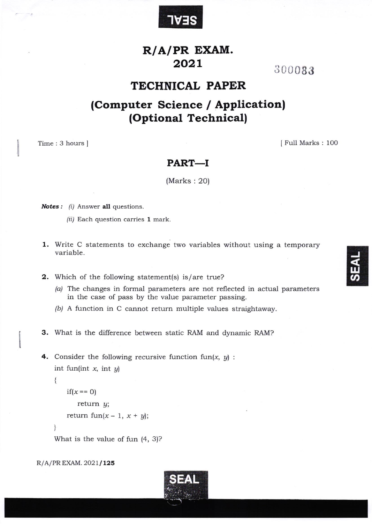

# R/A/PR EXAM. **2021** 300083

### TECHNICAL PAPER

## (Computer Science / Application) (Optional Technical|

Time: 3 hours | I Full Marks : 100

### PART\_I

(Marks : 20)

**Notes:**  $(i)$  Answer all questions.

- $(ii)$  Each question carries 1 mark.
- 1. Write C statements to exchange two variables without using a temporary variable.
- 2. Which of the following statement(s) is/are true?
	- $(a)$  The changes in formal parameters are not reflected in actual parameters in the case of pass by the value parameter passing.
	- /b/ A function in C cannot return multiple values straightaway.
- 3. What is the difference between static RAM and dynamic RAM?
- **4.** Consider the following recursive function fun $(x, y)$ : int fun(int  $x$ , int  $y$ )

```
{
   if(x == 0)return y;
   return fun(x - 1, x + y);
)
What is the value of fun (4, 3)?
```
 $R/A$ /PR EXAM. 2021/125



J  $\overline{\mathbf{5}}$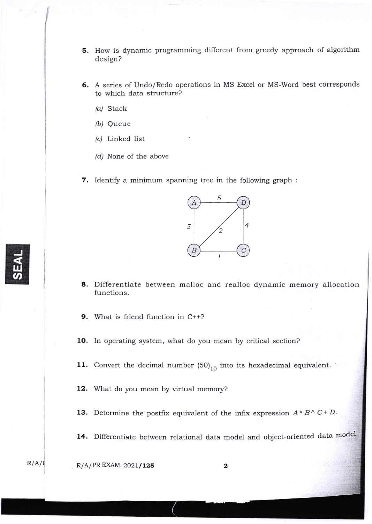- 5, How is dynamic programming different from greedy approach of algorithm design?
- 6. A series of Undo/Redo operations in MS-Excel or MS-Word best corresponds to which data structure?
	- /a/ Stack
	- (b) Queue
	- /c/ Linked list
	- $(d)$  None of the above
- 7. Identify a minimum spanning tree in the following graph :



8. Differentiate between malloc and realloc dynamic memory allocation functions.

9. What is friend function in C++?

1O. In operating system, what do you mean by critical section?

11. Convert the decimal number  $(50)_{10}$  into its hexadecimal equivalent.

- 12. What do you mean by virtual memory?
- 13. Determine the postfix equivalent of the infix expression  $A * B \wedge C + D$ .
- 14. Differentiate between relational data model and object-oriented data model.

Jereo Bar

 $\frac{1}{2}$ 

 $R/A/I$  R/A/PR EXAM. 2021/125